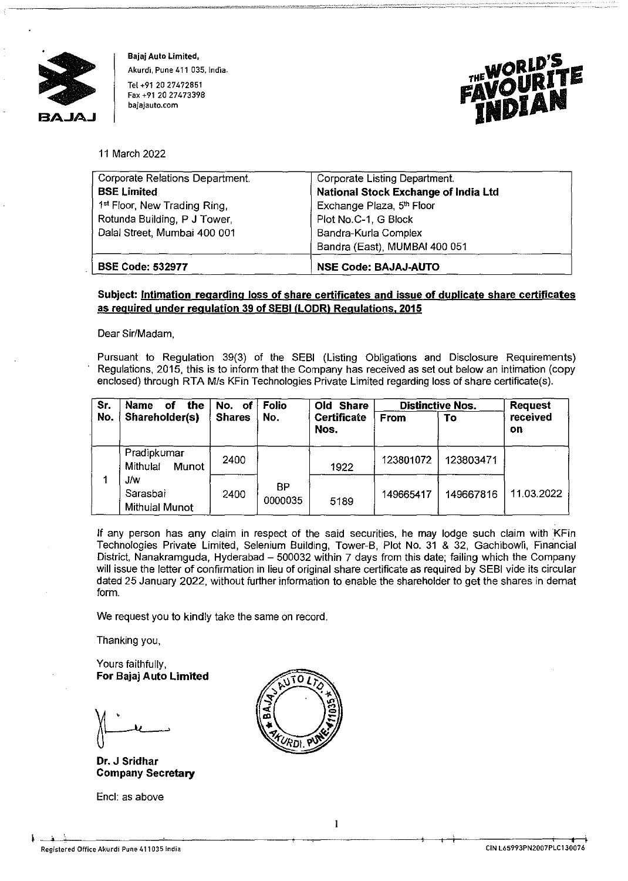

**Bajaj Auto Limited, Akurdi, Pune 411 035, India.**  Tel +91 20 27472851 **Fax +91 20 27473398 bajajauto.com** 



11 March 2022

| Corporate Relations Department.          | Corporate Listing Department.        |  |
|------------------------------------------|--------------------------------------|--|
| <b>BSE Limited</b>                       | National Stock Exchange of India Ltd |  |
| 1 <sup>st</sup> Floor, New Trading Ring, | Exchange Plaza, 5th Floor            |  |
| Rotunda Building, P J Tower,             | Plot No.C-1, G Block                 |  |
| Dalal Street, Mumbai 400 001             | Bandra-Kurla Complex                 |  |
|                                          | Bandra (East), MUMBAI 400 051        |  |
| <b>BSE Code: 532977</b>                  | <b>NSE Code: BAJAJ-AUTO</b>          |  |

## **Subject: Intimation regarding loss of share certificates and issue of duplicate share certificates as required under regulation 39 of SEBI (LODRI Regulations. 2015**

Dear Sir/Madam,

Pursuant to Regulation 39(3) of the SEBI (Listing Obligations and Disclosure Requirements) Regulations, 2015, this is to inform that the Company has received as set out below an intimation (copy enclosed) through RTA M/s KFin Technologies Private Limited regarding loss of share certificate(s).

| Sr. | <b>Name</b><br>the<br>No. of<br>οf      |               | <b>Folio</b>  | Old Share                  |             | <b>Distinctive Nos.</b> |                |
|-----|-----------------------------------------|---------------|---------------|----------------------------|-------------|-------------------------|----------------|
| No. | Shareholder(s)                          | <b>Shares</b> | No.           | <b>Certificate</b><br>Nos. | <b>From</b> | To                      | received<br>on |
|     | Pradipkumar<br>Mithulai<br><b>Munot</b> | 2400          |               | 1922                       | 123801072   | 123803471               |                |
|     | J/w<br>Sarasbai<br>Mithulal Munot       | 2400          | ВP<br>0000035 | 5189                       | 149665417   | 149667816               | 11.03.2022     |

If any person has any claim in respect of the said securities, he may lodge such claim with KFin Technologies Private Limited, Selenium Building, Tower-B, Plot No. 31 & 32, Gachibowli, Financial District, Nanakramguda, Hyderabad - 500032 within 7 days from this date; failing which the Company will issue the letter of confirmation in lieu of original share certificate as required by SEBI vide its circular dated 25 January 2022, without further information to enable the shareholder to get the shares in demat form.

We request you to kindly take the same on record.

Thanking you,

Yours faithfully, **For Bajaj Auto Limited** 

**Dr. J Sridhar Company Secretary** 

Encl: as above



 $\mathbf{L}$  $\sim$   $\sim$